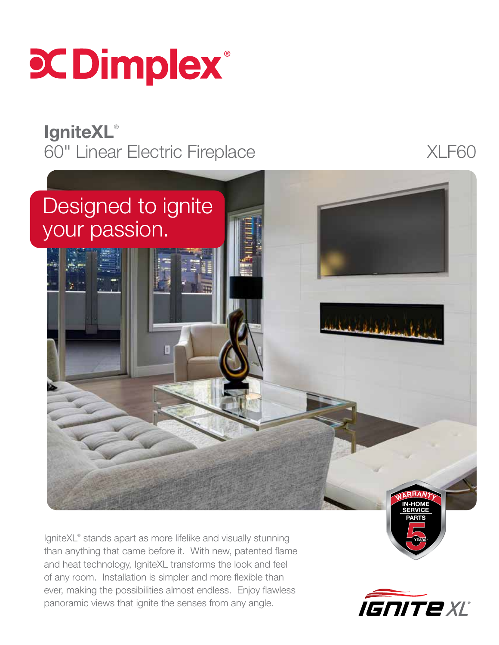

## **IgniteXL®** 60" Linear Electric Fireplace XLF60



IgniteXL® stands apart as more lifelike and visually stunning than anything that came before it. With new, patented flame and heat technology, IgniteXL transforms the look and feel of any room. Installation is simpler and more flexible than ever, making the possibilities almost endless. Enjoy flawless panoramic views that ignite the senses from any angle.



YEARS\*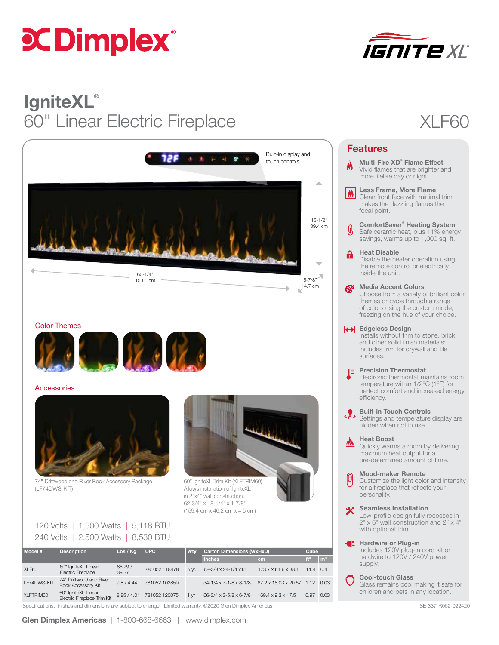# **CCDimplex**®



## **IgniteXL®** 60" Linear Electric Fireplace XLF60



#### Color Themes



#### **Accessories**



74" Driftwood and River Rock Accessory Package (LF74DWS-KIT)



60" IgniteXL Trim Kit (XLFTRIM60) Allows installation of IgniteXL in 2"x4" wall construction. 62-3/4" x 18-1/4" x 1-7/8" (159.4 cm x 46.2 cm x 4.5 cm)



120 Volts | 1,500 Watts | 5,118 BTU 240 Volts | 2,500 Watts | 8,530 BTU

| Model #     | <b>Description</b>                                 | Lbs / Kg         | UPC           | Wtv <sup>t</sup> | <b>Carton Dimensions (WxHxD)</b>         |                                | Cube             |                |
|-------------|----------------------------------------------------|------------------|---------------|------------------|------------------------------------------|--------------------------------|------------------|----------------|
|             |                                                    |                  |               |                  | <b>Inches</b>                            |                                | ft <sup>3</sup>  | $\mathbf{m}^3$ |
|             |                                                    |                  |               |                  |                                          | cm                             |                  |                |
| XLF60       | 60" IgniteXL Linear<br><b>Electric Fireplace</b>   | 86.79 /<br>39.37 | 781052 118478 | 5 vr.            | 68-3/8 x 24-1/4 x15                      | 173.7 x 61.6 x 38.1            | $14.4 \quad 0.4$ |                |
| LF74DWS-KIT | 74" Driftwood and River<br>Rock Accessory Kit      | 9.8 / 4.44       | 781052 102859 |                  | $34 - 1/4 \times 7 - 1/8 \times 8 - 1/8$ | 87.2 x 18.03 x 20.57 1.12 0.03 |                  |                |
| XLFTRIM60   | 60" IgniteXL Linear<br>Electric Fireplace Trim Kit | 8.85 / 4.01      | 781052 120075 | 1 <sub>vr</sub>  | 66-3/4 x 3-5/8 x 6-7/8                   | $169.4 \times 9.3 \times 17.5$ | 0.97             | 0.03           |
|             |                                                    |                  |               |                  |                                          |                                |                  |                |

Specifications, finishes and dimensions are subject to change. <sup>†</sup>Limited warranty. ©2020 Glen Dimplex Americas SE-337-R062-022420 SE-337-R062-022420

|                    | <b>Features</b>                                                                                                                                                                      |  |  |  |  |  |
|--------------------|--------------------------------------------------------------------------------------------------------------------------------------------------------------------------------------|--|--|--|--|--|
|                    | Multi-Fire XD <sup>®</sup> Flame Effect<br>Vivid flames that are brighter and<br>more lifelike day or night.                                                                         |  |  |  |  |  |
| $\vert \phi \vert$ | <b>Less Frame, More Flame</b><br>Clean front face with minimal trim<br>makes the dazzling flames the<br>focal point.                                                                 |  |  |  |  |  |
| I                  | <b>Comfort\$aver® Heating System</b><br>Safe ceramic heat, plus 11% energy<br>savings, warms up to 1,000 sq. ft.                                                                     |  |  |  |  |  |
| A                  | <b>Heat Disable</b><br>Disable the heater operation using<br>the remote control or electrically<br>inside the unit.                                                                  |  |  |  |  |  |
| <b>A</b>           | <b>Media Accent Colors</b><br>Choose from a variety of brilliant color<br>themes or cycle through a range<br>of colors using the custom mode,<br>freezing on the hue of your choice. |  |  |  |  |  |
|                    | <b>O</b> Edgeless Design<br>Installs without trim to stone, brick<br>and other solid finish materials;<br>includes trim for drywall and tile<br>surfaces.                            |  |  |  |  |  |
| J                  | <b>Precision Thermostat</b><br>Electronic thermostat maintains room<br>temperature within 1/2°C (1°F) for<br>perfect comfort and increased energy<br>efficiency.                     |  |  |  |  |  |
|                    | <b>Built-in Touch Controls</b><br>Settings and temperature display are<br>hidden when not in use.                                                                                    |  |  |  |  |  |
|                    | <b>Heat Boost</b><br>Quickly warms a room by delivering<br>maximum heat output for a<br>pre-determined amount of time.                                                               |  |  |  |  |  |
| 0                  | <b>Mood-maker Remote</b><br>Customize the light color and intensity<br>for a fireplace that reflects your<br>personality.                                                            |  |  |  |  |  |
|                    | <b>Seamless Installation</b><br>Low-profile design fully recesses in<br>2" x 6" wall construction and 2" x 4"<br>with optional trim.                                                 |  |  |  |  |  |
| Œ                  | <b>Hardwire or Plug-in</b><br>Includes 120V plug-in cord kit or<br>hardwire to 120V / 240V power<br>supply.                                                                          |  |  |  |  |  |

Cool-touch Glass Glass remains cool making it safe for children and pets in any location.